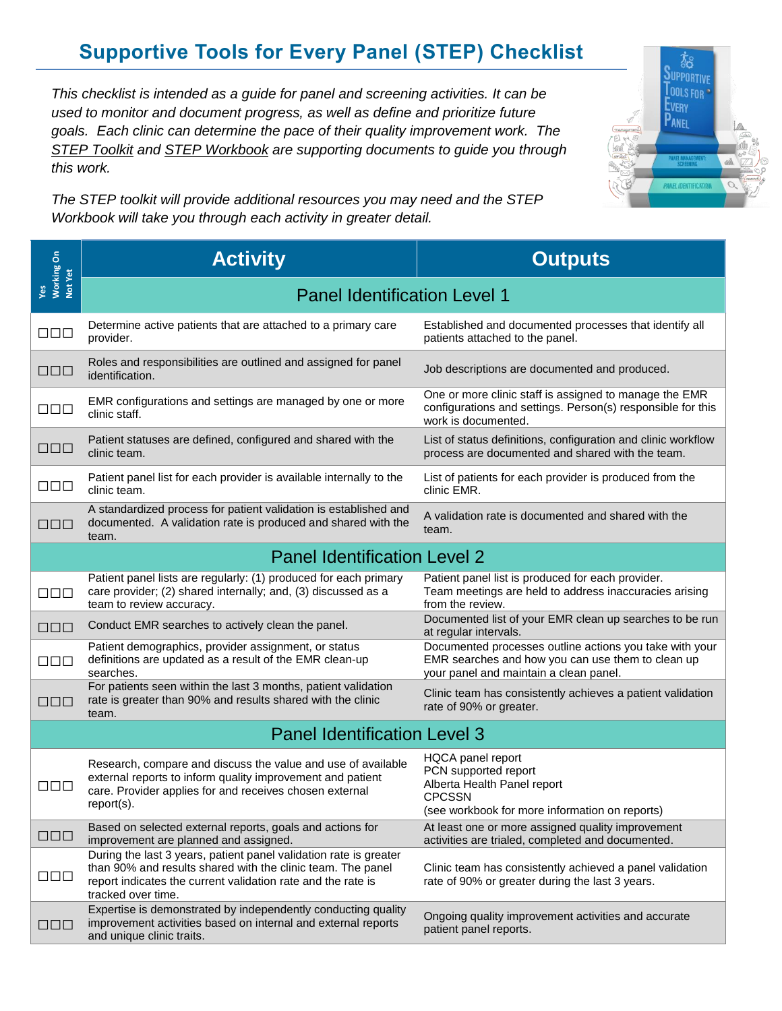## **Supportive Tools for Every Panel (STEP) Checklist**

*This checklist is intended as a guide for panel and screening activities. It can be used to monitor and document progress, as well as define and prioritize future goals. Each clinic can determine the pace of their quality improvement work. The STEP Toolkit and STEP Workbook are supporting documents to guide you through this work.*

*The STEP toolkit will provide additional resources you may need and the STEP Workbook will take you through each activity in greater detail.*

**Activity Outputs** Panel Identification Level 1 **□□□** Determine active patients that are attached to a primary care provider. Established and documented processes that identify all patients attached to the panel. **□□□** Roles and responsibilities are outlined and assigned for panel identification. Job descriptions are documented and produced. **□□□** EMR configurations and settings are managed by one or more clinic staff. One or more clinic staff is assigned to manage the EMR configurations and settings. Person(s) responsible for this work is documented. **□□□** Patient statuses are defined, configured and shared with the <br>□□□ clinic team clinic team. List of status definitions, configuration and clinic workflow process are documented and shared with the team. **□□□** Patient panel list for each provider is available internally to the clinic team. List of patients for each provider is produced from the clinic EMR. **□□□** A standardized process for patient validation is established and documented. A validation rate is produced and shared with the team. A validation rate is documented and shared with the team. Panel Identification Level 2 **□□□** Patient panel lists are regularly: (1) produced for each primary care provider; (2) shared internally; and, (3) discussed as a team to review accuracy. Patient panel list is produced for each provider. Team meetings are held to address inaccuracies arising from the review. **□□□** Conduct EMR searches to actively clean the panel. Documented list of your EMR clean up searches to be run at regular intervals. **□□□** Patient demographics, provider assignment, or status definitions are updated as a result of the EMR clean-up searches. Documented processes outline actions you take with your EMR searches and how you can use them to clean up your panel and maintain a clean panel. **□□□** For patients seen within the last 3 months, patient validation rate is greater than 90% and results shared with the clinic team. Clinic team has consistently achieves a patient validation rate of 90% or greater. Panel Identification Level 3 **□□□** Research, compare and discuss the value and use of available external reports to inform quality improvement and patient care. Provider applies for and receives chosen external report(s). HQCA panel report PCN supported report Alberta Health Panel report **CPCSSN** (see workbook for more information on reports) **□□□** Based on selected external reports, goals and actions for improvement are planned and assigned. At least one or more assigned quality improvement activities are trialed, completed and documented. **□□□** During the last 3 years, patient panel validation rate is greater than 90% and results shared with the clinic team. The panel report indicates the current validation rate and the rate is tracked over time. Clinic team has consistently achieved a panel validation rate of 90% or greater during the last 3 years. **□□□** Expertise is demonstrated by independently conducting quality improvement activities based on internal and external reports and unique clinic traits. Ongoing quality improvement activities and accurate patient panel reports. **Yes Working On Not Yet**